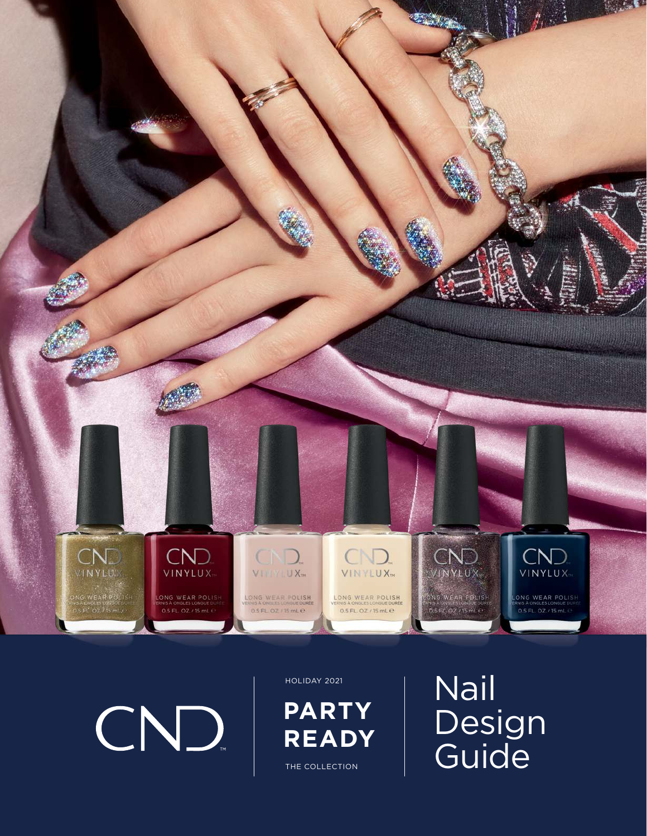

CND

HOLIDAY 2021

THE COLLECTION **PARTY READY** Nail Design Guide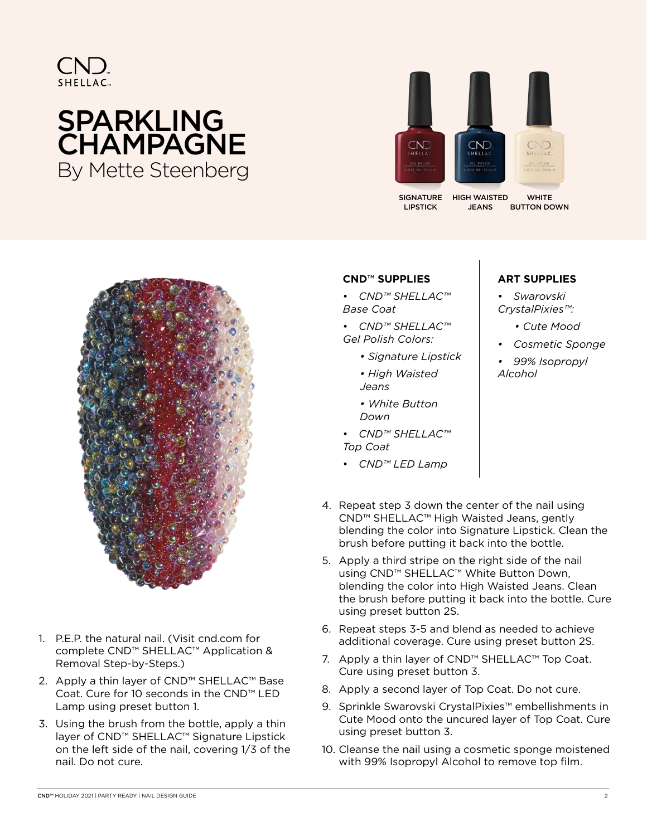

# SPARKLING **CHAMPAGNE** By Mette Steenberg



SIGNATURE LIPSTICK

**WHITE** BUTTON DOWN HIGH WAISTED JEANS



- 1. P.E.P. the natural nail. (Visit cnd.com for complete CND™ SHELLAC™ Application & Removal Step-by-Steps.)
- 2. Apply a thin layer of CND™ SHELLAC™ Base Coat. Cure for 10 seconds in the CND™ LED Lamp using preset button 1.
- 3. Using the brush from the bottle, apply a thin layer of CND™ SHELLAC™ Signature Lipstick on the left side of the nail, covering 1/3 of the nail. Do not cure.

#### **CND**™ **SUPPLIES**

• *CND™ SHELLAC™ Base Coat*

• *CND™ SHELLAC™ Gel Polish Colors:*

- *Signature Lipstick*
- *High Waisted Jeans*
- *White Button Down*
- *CND™ SHELLAC™ Top Coat*
- *CND™ LED Lamp*

#### **ART SUPPLIES**

• *Swarovski CrystalPixies™:*

- *Cute Mood*
- *Cosmetic Sponge*
- *99% Isopropyl Alcohol*

- 4. Repeat step 3 down the center of the nail using CND™ SHELLAC™ High Waisted Jeans, gently blending the color into Signature Lipstick. Clean the brush before putting it back into the bottle.
- 5. Apply a third stripe on the right side of the nail using CND™ SHELLAC™ White Button Down, blending the color into High Waisted Jeans. Clean the brush before putting it back into the bottle. Cure using preset button 2S.
- 6. Repeat steps 3-5 and blend as needed to achieve additional coverage. Cure using preset button 2S.
- 7. Apply a thin layer of CND™ SHELLAC™ Top Coat. Cure using preset button 3.
- 8. Apply a second layer of Top Coat. Do not cure.
- 9. Sprinkle Swarovski CrystalPixies™ embellishments in Cute Mood onto the uncured layer of Top Coat. Cure using preset button 3.
- 10. Cleanse the nail using a cosmetic sponge moistened with 99% Isopropyl Alcohol to remove top film.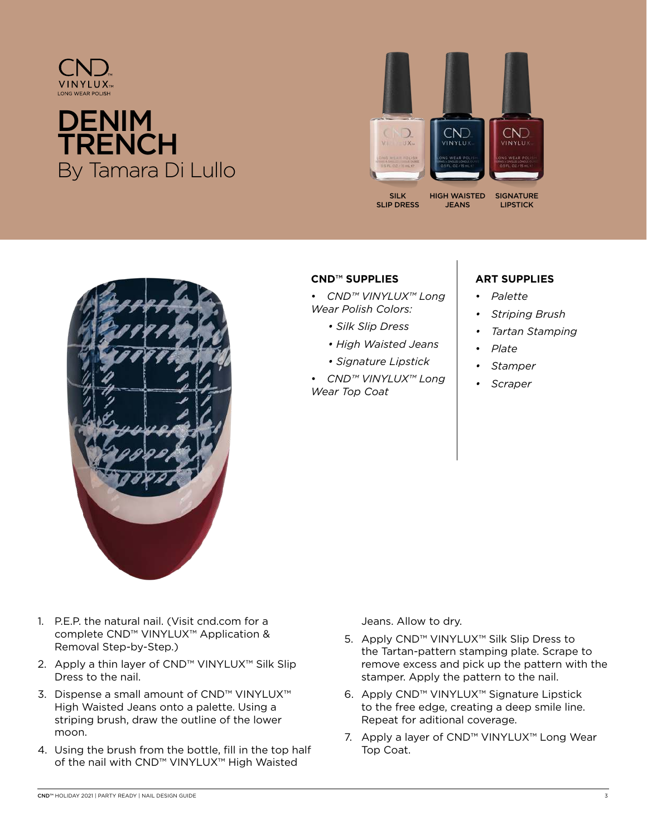

## **DENIM TRENCH** By Tamara Di Lullo



**JEANS** 

SILK SLIP DRESS **SIGNATURE** LIPSTICK



### **CND**™ **SUPPLIES**

- *CND™ VINYLUX™ Long Wear Polish Colors:*
	- *Silk Slip Dress*
	- *High Waisted Jeans*
	- *Signature Lipstick*

• *CND™ VINYLUX™ Long Wear Top Coat*

### **ART SUPPLIES**

- *Palette*
- *Striping Brush*
- *Tartan Stamping*
- *Plate*
- *Stamper*
- *Scraper*

- 1. P.E.P. the natural nail. (Visit cnd.com for a complete CND™ VINYLUX™ Application & Removal Step-by-Step.)
- 2. Apply a thin layer of CND™ VINYLUX™ Silk Slip Dress to the nail.
- 3. Dispense a small amount of CND™ VINYLUX™ High Waisted Jeans onto a palette. Using a striping brush, draw the outline of the lower moon.
- 4. Using the brush from the bottle, fill in the top half of the nail with CND™ VINYLUX™ High Waisted

Jeans. Allow to dry.

- 5. Apply CND™ VINYLUX™ Silk Slip Dress to the Tartan-pattern stamping plate. Scrape to remove excess and pick up the pattern with the stamper. Apply the pattern to the nail.
- 6. Apply CND™ VINYLUX™ Signature Lipstick to the free edge, creating a deep smile line. Repeat for aditional coverage.
- 7. Apply a layer of CND™ VINYLUX™ Long Wear Top Coat.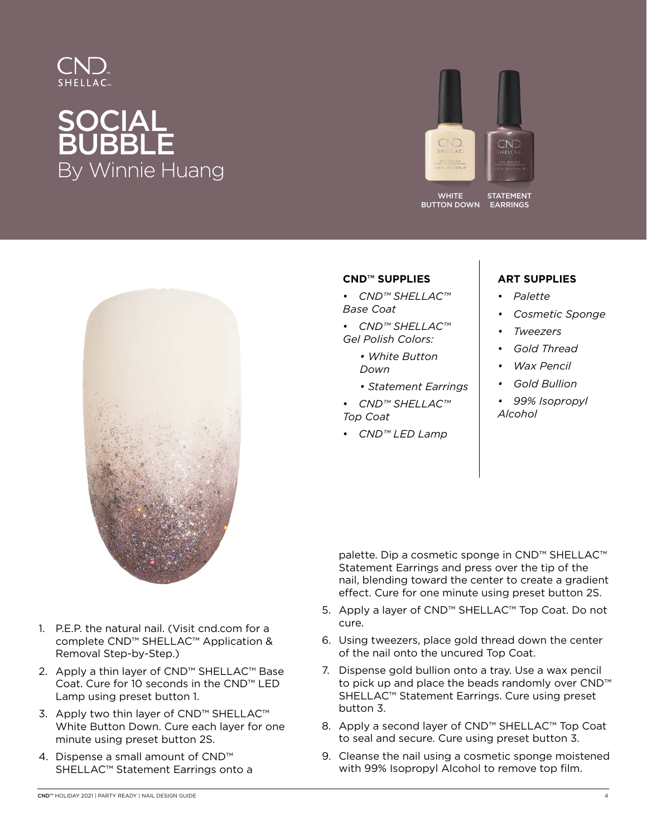

# SOCIAL **BUBBLE** By Winnie Huang



WHITE BUTTON DOWN





- 1. P.E.P. the natural nail. (Visit cnd.com for a complete CND™ SHELLAC™ Application & Removal Step-by-Step.)
- 2. Apply a thin layer of CND™ SHELLAC™ Base Coat. Cure for 10 seconds in the CND™ LED Lamp using preset button 1.
- 3. Apply two thin layer of CND™ SHELLAC™ White Button Down. Cure each layer for one minute using preset button 2S.
- 4. Dispense a small amount of CND™ SHELLAC™ Statement Earrings onto a

#### **CND**™ **SUPPLIES**

- *CND™ SHELLAC™ Base Coat*
- *CND™ SHELLAC™ Gel Polish Colors:*
	- *White Button Down*
	- *Statement Earrings*
- *CND™ SHELLAC™ Top Coat*
- 
- *CND™ LED Lamp*

### **ART SUPPLIES**

- *Palette*
- *Cosmetic Sponge*
- *Tweezers*
- *Gold Thread*
- *Wax Pencil*
- *Gold Bullion*
- *99% Isopropyl Alcohol*

palette. Dip a cosmetic sponge in CND™ SHELLAC™ Statement Earrings and press over the tip of the nail, blending toward the center to create a gradient effect. Cure for one minute using preset button 2S.

- 5. Apply a layer of CND™ SHELLAC™ Top Coat. Do not cure.
- 6. Using tweezers, place gold thread down the center of the nail onto the uncured Top Coat.
- 7. Dispense gold bullion onto a tray. Use a wax pencil to pick up and place the beads randomly over CND™ SHELLAC™ Statement Earrings. Cure using preset button 3.
- 8. Apply a second layer of CND™ SHELLAC™ Top Coat to seal and secure. Cure using preset button 3.
- 9. Cleanse the nail using a cosmetic sponge moistened with 99% Isopropyl Alcohol to remove top film.